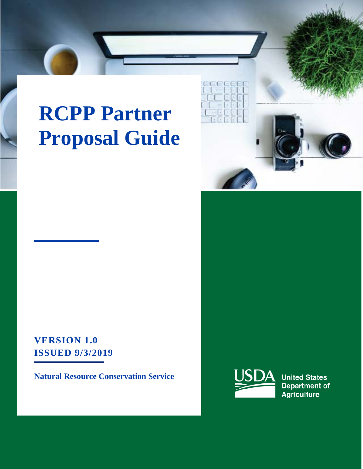# **RCPP Partner Proposal Guide**



**VERSION 1.0 ISSUED 9/3/2019** 

**Natural Resource Conservation Service**



**United States Department of Agriculture**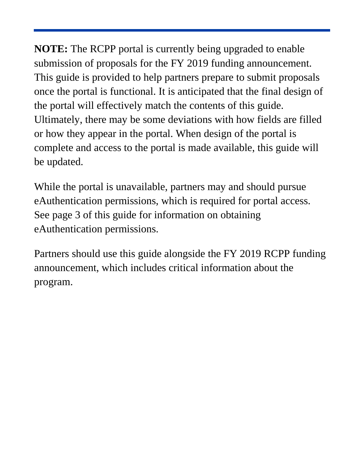**NOTE:** The RCPP portal is currently being upgraded to enable submission of proposals for the FY 2019 funding announcement. This guide is provided to help partners prepare to submit proposals once the portal is functional. It is anticipated that the final design of the portal will effectively match the contents of this guide. Ultimately, there may be some deviations with how fields are filled or how they appear in the portal. When design of the portal is complete and access to the portal is made available, this guide will be updated.

While the portal is unavailable, partners may and should pursue eAuthentication permissions, which is required for portal access. See page 3 of this guide for information on obtaining eAuthentication permissions.

Partners should use this guide alongside the FY 2019 RCPP funding announcement, which includes critical information about the program.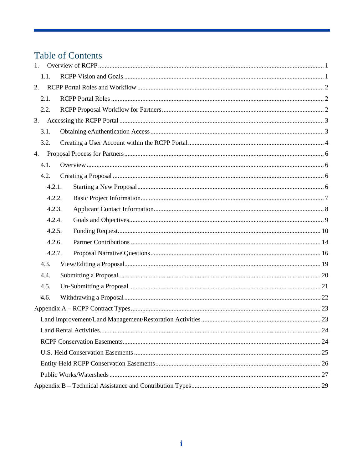# Table of Contents

| 1. |        |  |  |  |  |  |  |
|----|--------|--|--|--|--|--|--|
|    | 1.1.   |  |  |  |  |  |  |
| 2. |        |  |  |  |  |  |  |
|    | 2.1.   |  |  |  |  |  |  |
|    | 2.2.   |  |  |  |  |  |  |
| 3. |        |  |  |  |  |  |  |
|    | 3.1.   |  |  |  |  |  |  |
|    | 3.2.   |  |  |  |  |  |  |
| 4. |        |  |  |  |  |  |  |
|    | 4.1.   |  |  |  |  |  |  |
|    | 4.2.   |  |  |  |  |  |  |
|    | 4.2.1. |  |  |  |  |  |  |
|    | 4.2.2. |  |  |  |  |  |  |
|    | 4.2.3. |  |  |  |  |  |  |
|    | 4.2.4. |  |  |  |  |  |  |
|    | 4.2.5. |  |  |  |  |  |  |
|    | 4.2.6. |  |  |  |  |  |  |
|    | 4.2.7. |  |  |  |  |  |  |
|    | 4.3.   |  |  |  |  |  |  |
|    | 4.4.   |  |  |  |  |  |  |
|    | 4.5.   |  |  |  |  |  |  |
|    | 4.6.   |  |  |  |  |  |  |
|    |        |  |  |  |  |  |  |
|    |        |  |  |  |  |  |  |
|    |        |  |  |  |  |  |  |
|    |        |  |  |  |  |  |  |
|    |        |  |  |  |  |  |  |
|    |        |  |  |  |  |  |  |
|    |        |  |  |  |  |  |  |
|    |        |  |  |  |  |  |  |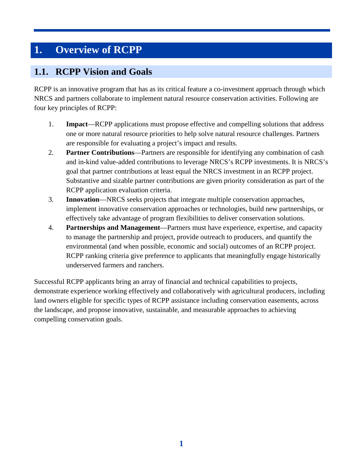# <span id="page-4-0"></span>**1. Overview of RCPP**

### <span id="page-4-1"></span>**1.1. RCPP Vision and Goals**

RCPP is an innovative program that has as its critical feature a co-investment approach through which NRCS and partners collaborate to implement natural resource conservation activities. Following are four key principles of RCPP:

- 1. **Impact**—RCPP applications must propose effective and compelling solutions that address one or more natural resource priorities to help solve natural resource challenges. Partners are responsible for evaluating a project's impact and results.
- 2. **Partner Contributions**—Partners are responsible for identifying any combination of cash and in-kind value-added contributions to leverage NRCS's RCPP investments. It is NRCS's goal that partner contributions at least equal the NRCS investment in an RCPP project. Substantive and sizable partner contributions are given priority consideration as part of the RCPP application evaluation criteria.
- 3. **Innovation**—NRCS seeks projects that integrate multiple conservation approaches, implement innovative conservation approaches or technologies, build new partnerships, or effectively take advantage of program flexibilities to deliver conservation solutions.
- 4. **Partnerships and Management**—Partners must have experience, expertise, and capacity to manage the partnership and project, provide outreach to producers, and quantify the environmental (and when possible, economic and social) outcomes of an RCPP project. RCPP ranking criteria give preference to applicants that meaningfully engage historically underserved farmers and ranchers.

Successful RCPP applicants bring an array of financial and technical capabilities to projects, demonstrate experience working effectively and collaboratively with agricultural producers, including land owners eligible for specific types of RCPP assistance including conservation easements, across the landscape, and propose innovative, sustainable, and measurable approaches to achieving compelling conservation goals.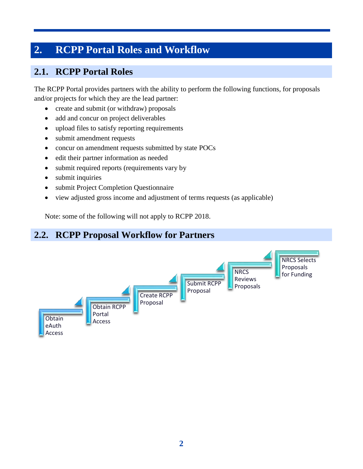# <span id="page-5-0"></span>**2. RCPP Portal Roles and Workflow**

# <span id="page-5-1"></span>**2.1. RCPP Portal Roles**

The RCPP Portal provides partners with the ability to perform the following functions, for proposals and/or projects for which they are the lead partner:

- create and submit (or withdraw) proposals
- add and concur on project deliverables
- upload files to satisfy reporting requirements
- submit amendment requests
- concur on amendment requests submitted by state POCs
- edit their partner information as needed
- submit required reports (requirements vary by
- submit inquiries
- submit Project Completion Questionnaire
- view adjusted gross income and adjustment of terms requests (as applicable)

Note: some of the following will not apply to RCPP 2018.

#### <span id="page-5-2"></span>**2.2. RCPP Proposal Workflow for Partners** Obtain eAuth Access Obtain RCPP Portal Access Create RCPP Proposal Submit RCPP Proposal **NRCS** Reviews Proposals NRCS Selects Proposals for Funding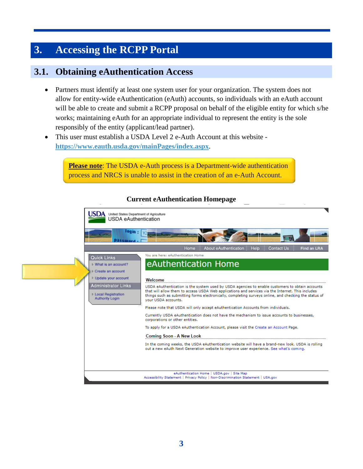# <span id="page-6-0"></span>**3. Accessing the RCPP Portal**

### <span id="page-6-1"></span>**3.1. Obtaining eAuthentication Access**

- Partners must identify at least one system user for your organization. The system does not allow for entity-wide eAuthentication (eAuth) accounts, so individuals with an eAuth account will be able to create and submit a RCPP proposal on behalf of the eligible entity for which s/he works; maintaining eAuth for an appropriate individual to represent the entity is the sole responsibly of the entity (applicant/lead partner).
- This user must establish a USDA Level 2 e-Auth Account at this website **<https://www.eauth.usda.gov/mainPages/index.aspx>**.

**Please note:** The USDA e-Auth process is a Department-wide authentication process and NRCS is unable to assist in the creation of an e-Auth Account.

#### United States Department of Agriculture **JSDA** USDA eAuthentication  $00in -$ About eAuthentication Conta You are here: eAuthentication Home **Quick Links** eAuthentication Home ▷ What is an account? ▷ Create an account **D** Update your account Welcome **Administrator Links** USDA eAuthentication is the system used by USDA agencies to enable customers to obtain accounts that will allow them to access USDA Web applications and services via the Internet. This includes **Local Registration** things such as submitting forms electronically, completing surveys online, and checking the status of **Authority Login** your USDA accounts. Please note that USDA will only accept eAuthentication Accounts from individuals. Currently USDA eAuthentication does not have the mechanism to issue accounts to businesses, corporations or other entities. To apply for a USDA eAuthentication Account, please visit the Create an Account Page. **Coming Soon - A New Look** In the coming weeks, the USDA eAuthentication website will have a brand-new look. USDA is rolling out a new eAuth Next Generation website to improve user experience. See what's coming. eAuthentication Home | USDA.gov | Site Map Accessibility Statement | Privacy Policy | Non-Discrimination Statement | USA.gov

#### **Current eAuthentication Homepage**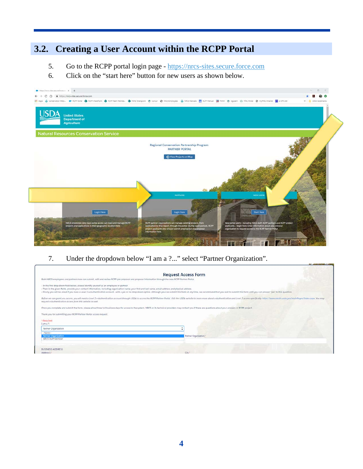# <span id="page-7-0"></span>**3.2. Creating a User Account within the RCPP Portal**

- 5. Go to the RCPP portal login page [https://nrcs-sites.secure.force.com](https://nrcs-sites.secure.force.com/)
- 6. Click on the "start here" button for new users as shown below.



7. Under the dropdown below "I am a ?..." select "Partner Organization".

|                                                                                                                                                                                                                                                       | <b>Request Access Form</b>                                                                                                                                                                                                     |  |
|-------------------------------------------------------------------------------------------------------------------------------------------------------------------------------------------------------------------------------------------------------|--------------------------------------------------------------------------------------------------------------------------------------------------------------------------------------------------------------------------------|--|
| Both NRCS employees and partners now can submit, edit and review RCPP pre-proposal and proposal information through the new RCPP Partner Portal.                                                                                                      |                                                                                                                                                                                                                                |  |
| - In the first drop down field below, please identify yourself as an employee or partner.<br>- Then in the given fields, provide your contact information, including organization name, your first and last name, email address and physical address. | - Finally, you will be asked if you have a Level 2 e-Authentication account - with a yes or no drop down option. Although you can submit this form at any time, we recommend that you wall to submit this form until you can a |  |
| request e-Authentication access from this website as well.                                                                                                                                                                                            | Before we can grant you access, you will need a Level 2 e-Authentication account through USDA to access the RCPP Partner Portal. Visit the USDA website to learn more about e-Authentication and Level 2 access specifically,  |  |
| Once you complete and submit the form, please allow three full business days for access to the system. NRCS or its technical providers may contact you if there are questions about your answers or RCPP project.                                     |                                                                                                                                                                                                                                |  |
| Thank you for submitting your RCPP Partner Portal access request.                                                                                                                                                                                     |                                                                                                                                                                                                                                |  |
| *-Regulred<br>I am a ?"                                                                                                                                                                                                                               |                                                                                                                                                                                                                                |  |
| Partner Organization                                                                                                                                                                                                                                  |                                                                                                                                                                                                                                |  |
| -None-<br><b>Partner Organization</b><br>NRCS Staff Member                                                                                                                                                                                            | Partner Organization."                                                                                                                                                                                                         |  |
| <b>BUSINESS ADDRESS</b><br>Address 1*                                                                                                                                                                                                                 | City*                                                                                                                                                                                                                          |  |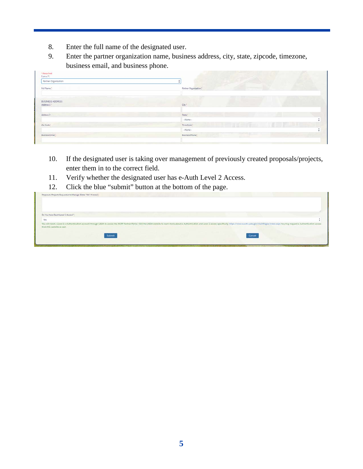- 8. Enter the full name of the designated user.
- 9. Enter the partner organization name, business address, city, state, zipcode, timezone, business email, and business phone.

| Partner Organization<br>Full Name*<br>Partner Organization*         |  |
|---------------------------------------------------------------------|--|
|                                                                     |  |
|                                                                     |  |
| <b>E ST</b><br>BUSINESS ADDRESS<br>$City$ <sup>*</sup><br>Address 1 |  |
| Address 2<br>State:                                                 |  |
| $-None-$                                                            |  |
| n an<br>Time Zone<br>Zip Code <sup>+</sup>                          |  |
| $-Mone-$                                                            |  |
| Business Email:<br>Business Phone                                   |  |
|                                                                     |  |

- 10. If the designated user is taking over management of previously created proposals/projects, enter them in to the correct field.
- 11. Verify whether the designated user has e-Auth Level 2 Access.
- 12. Click the blue "submit" button at the bottom of the page.

| Proposals/Projects Requested to Manage (Enter "NA" if none)." |        |                                                                                                                                                                                                                                |                                                    |
|---------------------------------------------------------------|--------|--------------------------------------------------------------------------------------------------------------------------------------------------------------------------------------------------------------------------------|----------------------------------------------------|
|                                                               |        |                                                                                                                                                                                                                                |                                                    |
| Do You Have Eauth Level-2 Access <sup>3+</sup>                |        |                                                                                                                                                                                                                                |                                                    |
| Yes:                                                          |        |                                                                                                                                                                                                                                |                                                    |
| from this website as well.                                    |        | You will need a Level 2 e-Authentication account through USDA to access the RCPP Partner Portal. Visit the USDA website to learn more about e-Authentication and Level 2 access specifically. https://www.eauth.usda.gov/mainP |                                                    |
|                                                               | Submit | Cancel                                                                                                                                                                                                                         |                                                    |
|                                                               |        |                                                                                                                                                                                                                                |                                                    |
| the problems of the problems of the problems.                 |        |                                                                                                                                                                                                                                | <b><i>VEHINAL PRODUCTION INTO A SAID DRESS</i></b> |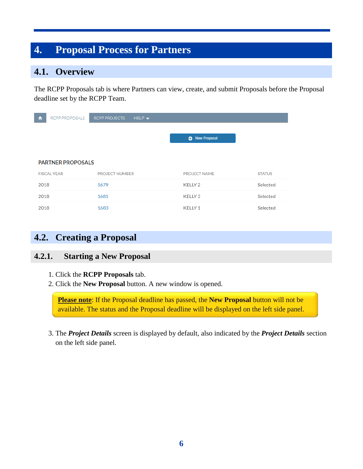# <span id="page-9-0"></span>**4. Proposal Process for Partners**

### <span id="page-9-1"></span>**4.1. Overview**

The RCPP Proposals tab is where Partners can view, create, and submit Proposals before the Proposal deadline set by the RCPP Team.

| RCPP PROPOSALS<br>π      | <b>RCPP PROJECTS</b><br>$HELP -$ |                       |               |
|--------------------------|----------------------------------|-----------------------|---------------|
|                          |                                  |                       |               |
|                          |                                  | <b>C</b> New Proposal |               |
|                          |                                  |                       |               |
| <b>PARTNER PROPOSALS</b> |                                  |                       |               |
| <b>FISCAL YEAR</b>       | PROJECT NUMBER                   | PROJECT NAME          | <b>STATUS</b> |
| 2018                     | 1679                             | KELLY <sub>2</sub>    | Selected      |
| 2018                     | 1681                             | KELLY <sub>3</sub>    | Selected      |
| 2018                     | 1683                             | KELLY 1               | Selected      |

## <span id="page-9-2"></span>**4.2. Creating a Proposal**

### <span id="page-9-3"></span>**4.2.1. Starting a New Proposal**

- 1. Click the **RCPP Proposals** tab.
- 2. Click the **New Proposal** button. A new window is opened.

**Please note**: If the Proposal deadline has passed, the **New Proposal** button will not be available. The status and the Proposal deadline will be displayed on the left side panel.

 3. The *Project Details* screen is displayed by default, also indicated by the *Project Details* section on the left side panel.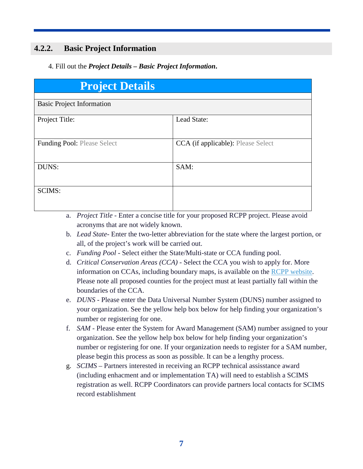### <span id="page-10-0"></span>**4.2.2. Basic Project Information**

#### 4. Fill out the *Project Details – Basic Project Information***.**

| <b>Project Details</b>             |                                    |  |  |  |  |  |  |
|------------------------------------|------------------------------------|--|--|--|--|--|--|
| <b>Basic Project Information</b>   |                                    |  |  |  |  |  |  |
| Project Title:                     | Lead State:                        |  |  |  |  |  |  |
| <b>Funding Pool: Please Select</b> | CCA (if applicable): Please Select |  |  |  |  |  |  |
| DUNS:                              | SAM:                               |  |  |  |  |  |  |
| <b>SCIMS:</b>                      |                                    |  |  |  |  |  |  |

- a. *Project Title* Enter a concise title for your proposed RCPP project. Please avoid acronyms that are not widely known.
- b. *Lead State* Enter the two-letter abbreviation for the state where the largest portion, or all, of the project's work will be carried out.
- c. *Funding Pool* Select either the State/Multi-state or CCA funding pool.
- d. *Critical Conservation Areas (CCA)* Select the CCA you wish to apply for. More information on CCAs, including boundary maps, is available on the [RCPP website.](https://www.nrcs.usda.gov/wps/portal/nrcs/detail/national/programs/financial/rcpp/?cid=stelprdb1254053) Please note all proposed counties for the project must at least partially fall within the boundaries of the CCA.
- e. *DUNS* Please enter the Data Universal Number System (DUNS) number assigned to your organization. See the yellow help box below for help finding your organization's number or registering for one.
- f. *SAM* Please enter the System for Award Management (SAM) number assigned to your organization. See the yellow help box below for help finding your organization's number or registering for one. If your organization needs to register for a SAM number, please begin this process as soon as possible. It can be a lengthy process.
- g. *SCIMS –* Partners interested in receiving an RCPP technical assisstance award (including enhacment and or implementation TA) will need to establish a SCIMS registration as well. RCPP Coordinators can provide partners local contacts for SCIMS record establishment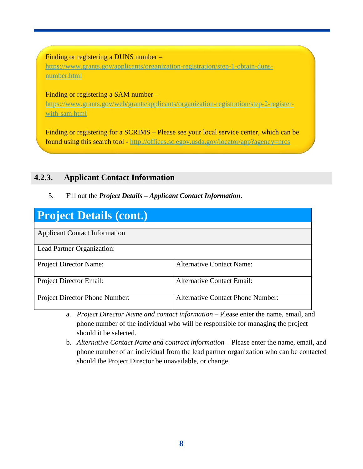#### Finding or registering a DUNS number –

[https://www.grants.gov/applicants/organization-registration/step-1-obtain-duns](https://www.grants.gov/applicants/organization-registration/step-1-obtain-duns-number.html)[number.html](https://www.grants.gov/applicants/organization-registration/step-1-obtain-duns-number.html)

Finding or registering a SAM number –

[https://www.grants.gov/web/grants/applicants/organization-registration/step-2-register](https://www.grants.gov/web/grants/applicants/organization-registration/step-2-register-with-sam.html)[with-sam.html](https://www.grants.gov/web/grants/applicants/organization-registration/step-2-register-with-sam.html)

Finding or registering for a SCRIMS – Please see your local service center, which can be found using this search tool - <http://offices.sc.egov.usda.gov/locator/app?agency=nrcs>

#### <span id="page-11-0"></span>**4.2.3. Applicant Contact Information**

#### 5. Fill out the *Project Details – Applicant Contact Information***.**

| Project Details (cont.)              |                                          |  |  |  |  |  |
|--------------------------------------|------------------------------------------|--|--|--|--|--|
|                                      |                                          |  |  |  |  |  |
| <b>Applicant Contact Information</b> |                                          |  |  |  |  |  |
| Lead Partner Organization:           |                                          |  |  |  |  |  |
| Project Director Name:               | <b>Alternative Contact Name:</b>         |  |  |  |  |  |
| Project Director Email:              | <b>Alternative Contact Email:</b>        |  |  |  |  |  |
| Project Director Phone Number:       | <b>Alternative Contact Phone Number:</b> |  |  |  |  |  |

- a. *Project Director Name and contact information* Please enter the name, email, and phone number of the individual who will be responsible for managing the project should it be selected.
- <span id="page-11-1"></span>b. *Alternative Contact Name and contract information* – Please enter the name, email, and phone number of an individual from the lead partner organization who can be contacted should the Project Director be unavailable, or change.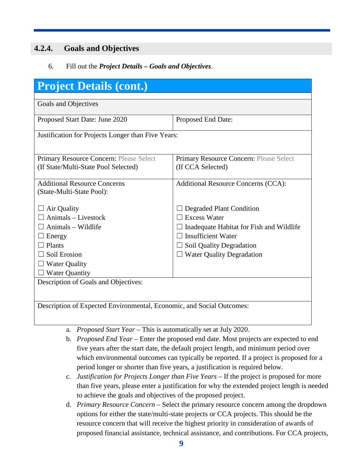### **4.2.4. Goals and Objectives**

6. Fill out the *Project Details – Goals and Objectives*.

| <b>Project Details (cont.)</b>                                        |                                          |  |  |  |  |  |
|-----------------------------------------------------------------------|------------------------------------------|--|--|--|--|--|
|                                                                       |                                          |  |  |  |  |  |
| Goals and Objectives                                                  |                                          |  |  |  |  |  |
| Proposed Start Date: June 2020                                        | Proposed End Date:                       |  |  |  |  |  |
| Justification for Projects Longer than Five Years:                    |                                          |  |  |  |  |  |
|                                                                       |                                          |  |  |  |  |  |
| Primary Resource Concern: Please Select                               | Primary Resource Concern: Please Select  |  |  |  |  |  |
| (If State/Multi-State Pool Selected)                                  | (If CCA Selected)                        |  |  |  |  |  |
|                                                                       |                                          |  |  |  |  |  |
| <b>Additional Resource Concerns</b>                                   | Additional Resource Concerns (CCA):      |  |  |  |  |  |
| (State-Multi-State Pool):                                             |                                          |  |  |  |  |  |
| Air Quality                                                           | <b>Degraded Plant Condition</b>          |  |  |  |  |  |
| Animals - Livestock                                                   | <b>Excess Water</b>                      |  |  |  |  |  |
| Animals - Wildlife                                                    | Inadequate Habitat for Fish and Wildlife |  |  |  |  |  |
| Energy                                                                | <b>Insufficient Water</b>                |  |  |  |  |  |
| Plants                                                                | Soil Quality Degradation                 |  |  |  |  |  |
| Soil Erosion                                                          | <b>Water Quality Degradation</b>         |  |  |  |  |  |
| $\Box$ Water Quality                                                  |                                          |  |  |  |  |  |
| $\Box$ Water Quantity                                                 |                                          |  |  |  |  |  |
| Description of Goals and Objectives:                                  |                                          |  |  |  |  |  |
|                                                                       |                                          |  |  |  |  |  |
| Description of Expected Environmental, Economic, and Social Outcomes: |                                          |  |  |  |  |  |
|                                                                       |                                          |  |  |  |  |  |

- a. *Proposed Start Year* This is automatically set at July 2020.
- b. *Proposed End Year* Enter the proposed end date. Most projects are expected to end five years after the start date, the default project length, and minimum period over which environmental outcomes can typically be reported. If a project is proposed for a period longer or shorter than five years, a justification is required below.
- c. *Justification for Projects Longer than Five Years* If the project is proposed for more than five years, please enter a justification for why the extended project length is needed to achieve the goals and objectives of the proposed project.
- d. *Primary Resource Concern* Select the primary resource concern among the dropdown options for either the state/multi-state projects or CCA projects. This should be the resource concern that will receive the highest priority in consideration of awards of proposed financial assistance, technical assistance, and contributions. For CCA projects,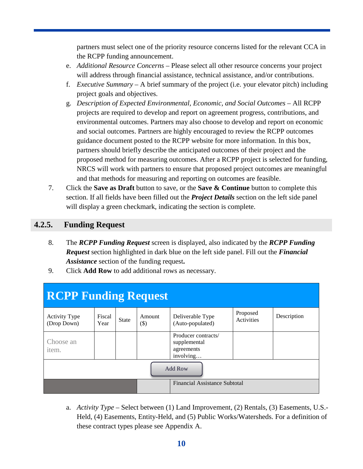partners must select one of the priority resource concerns listed for the relevant CCA in the RCPP funding announcement.

- e. *Additional Resource Concerns* Please select all other resource concerns your project will address through financial assistance, technical assistance, and/or contributions.
- f. *Executive Summary* A brief summary of the project (i.e. your elevator pitch) including project goals and objectives.
- g. *Description of Expected Environmental, Economic, and Social Outcomes* All RCPP projects are required to develop and report on agreement progress, contributions, and environmental outcomes. Partners may also choose to develop and report on economic and social outcomes. Partners are highly encouraged to review the RCPP outcomes guidance document posted to the RCPP website for more information. In this box, partners should briefly describe the anticipated outcomes of their project and the proposed method for measuring outcomes. After a RCPP project is selected for funding, NRCS will work with partners to ensure that proposed project outcomes are meaningful and that methods for measuring and reporting on outcomes are feasible.
- 7. Click the **Save as Draft** button to save, or the **Save & Continue** button to complete this section. If all fields have been filled out the *Project Details* section on the left side panel will display a green checkmark, indicating the section is complete.

### <span id="page-13-0"></span>**4.2.5. Funding Request**

- 8. The *RCPP Funding Request* screen is displayed, also indicated by the *RCPP Funding Request* section highlighted in dark blue on the left side panel. Fill out the *Financial Assistance* section of the funding request**.**
- 9. Click **Add Row** to add additional rows as necessary.

| <b>RCPP Funding Request</b>         |                |              |                  |                                                                |                        |             |
|-------------------------------------|----------------|--------------|------------------|----------------------------------------------------------------|------------------------|-------------|
| <b>Activity Type</b><br>(Drop Down) | Fiscal<br>Year | <b>State</b> | Amount<br>$(\$)$ | Deliverable Type<br>(Auto-populated)                           | Proposed<br>Activities | Description |
| Choose an<br>item.                  |                |              |                  | Producer contracts/<br>supplemental<br>agreements<br>involving |                        |             |
| Add Row                             |                |              |                  |                                                                |                        |             |
| Financial Assistance Subtotal       |                |              |                  |                                                                |                        |             |

a. *Activity Type* – Select between (1) Land Improvement, (2) Rentals, (3) Easements, U.S.- Held, (4) Easements, Entity-Held, and (5) Public Works/Watersheds. For a definition of these contract types please see Appendix A.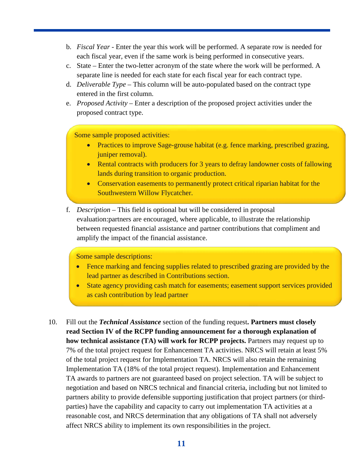- b. *Fiscal Year*  Enter the year this work will be performed. A separate row is needed for each fiscal year, even if the same work is being performed in consecutive years.
- c. State Enter the two-letter acronym of the state where the work will be performed. A separate line is needed for each state for each fiscal year for each contract type.
- d. *Deliverable Type* This column will be auto-populated based on the contract type entered in the first column.
- e. *Proposed Activity* Enter a description of the proposed project activities under the proposed contract type.

Some sample proposed activities:

- Practices to improve Sage-grouse habitat (e.g. fence marking, prescribed grazing, juniper removal).
- Rental contracts with producers for 3 years to defray landowner costs of fallowing lands during transition to organic production.
- Conservation easements to permanently protect critical riparian habitat for the Southwestern Willow Flycatcher.
- f. *Description*  This field is optional but will be considered in proposal evaluation:partners are encouraged, where applicable, to illustrate the relationship between requested financial assistance and partner contributions that compliment and amplify the impact of the financial assistance.

Some sample descriptions:

- Fence marking and fencing supplies related to prescribed grazing are provided by the lead partner as described in Contributions section.
- State agency providing cash match for easements; easement support services provided as cash contribution by lead partner
- 10. Fill out the *Technical Assistance* section of the funding request**. Partners must closely read Section IV of the RCPP funding announcement for a thorough explanation of how technical assistance (TA) will work for RCPP projects.** Partners may request up to 7% of the total project request for Enhancement TA activities. NRCS will retain at least 5% of the total project request for Implementation TA. NRCS will also retain the remaining Implementation TA (18% of the total project request). Implementation and Enhancement TA awards to partners are not guaranteed based on project selection. TA will be subject to negotiation and based on NRCS technical and financial criteria, including but not limited to partners ability to provide defensible supporting justification that project partners (or thirdparties) have the capability and capacity to carry out implementation TA activities at a reasonable cost, and NRCS determination that any obligations of TA shall not adversely affect NRCS ability to implement its own responsibilities in the project.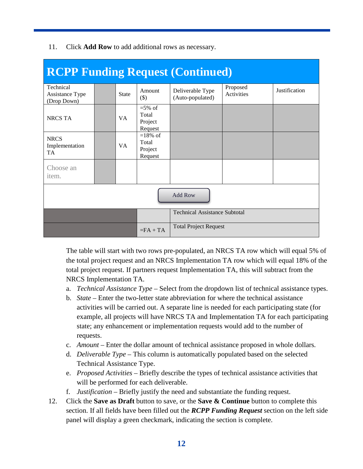| <b>RCPP Funding Request (Continued)</b>     |  |              |                                           |                                      |                        |               |
|---------------------------------------------|--|--------------|-------------------------------------------|--------------------------------------|------------------------|---------------|
| Technical<br>Assistance Type<br>(Drop Down) |  | <b>State</b> | Amount<br>$(\$)$                          | Deliverable Type<br>(Auto-populated) | Proposed<br>Activities | Justification |
| <b>NRCS TA</b>                              |  | VA           | $=$ 5% of<br>Total<br>Project<br>Request  |                                      |                        |               |
| <b>NRCS</b><br>Implementation<br><b>TA</b>  |  | VA           | $=18\%$ of<br>Total<br>Project<br>Request |                                      |                        |               |
| Choose an<br>item.                          |  |              |                                           |                                      |                        |               |
| <b>Add Row</b>                              |  |              |                                           |                                      |                        |               |
|                                             |  |              |                                           | <b>Technical Assistance Subtotal</b> |                        |               |
|                                             |  |              | $=FA+TA$                                  | <b>Total Project Request</b>         |                        |               |

11. Click **Add Row** to add additional rows as necessary.

The table will start with two rows pre-populated, an NRCS TA row which will equal 5% of the total project request and an NRCS Implementation TA row which will equal 18% of the total project request. If partners request Implementation TA, this will subtract from the NRCS Implementation TA.

- a. *Technical Assistance Type –* Select from the dropdown list of technical assistance types.
- b. *State –* Enter the two-letter state abbreviation for where the technical assistance activities will be carried out. A separate line is needed for each participating state (for example, all projects will have NRCS TA and Implementation TA for each participating state; any enhancement or implementation requests would add to the number of requests.
- c. *Amount –* Enter the dollar amount of technical assistance proposed in whole dollars*.*
- d. *Deliverable Type –* This column is automatically populated based on the selected Technical Assistance Type.
- e. *Proposed Activities –* Briefly describe the types of technical assistance activities that will be performed for each deliverable.
- f. *Justification –* Briefly justify the need and substantiate the funding request.
- 12. Click the **Save as Draft** button to save, or the **Save & Continue** button to complete this section. If all fields have been filled out the *RCPP Funding Request* section on the left side panel will display a green checkmark, indicating the section is complete.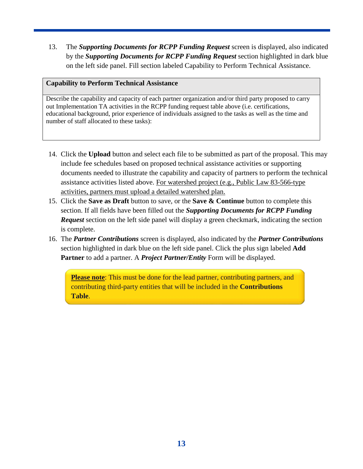13. The *Supporting Documents for RCPP Funding Request* screen is displayed, also indicated by the *Supporting Documents for RCPP Funding Request* section highlighted in dark blue on the left side panel. Fill section labeled Capability to Perform Technical Assistance.

#### **Capability to Perform Technical Assistance**

Describe the capability and capacity of each partner organization and/or third party proposed to carry out Implementation TA activities in the RCPP funding request table above (i.e. certifications, educational background, prior experience of individuals assigned to the tasks as well as the time and number of staff allocated to these tasks):

- 14. Click the **Upload** button and select each file to be submitted as part of the proposal. This may include fee schedules based on proposed technical assistance activities or supporting documents needed to illustrate the capability and capacity of partners to perform the technical assistance activities listed above. For watershed project (e.g., Public Law 83-566-type activities, partners must upload a detailed watershed plan.
- 15. Click the **Save as Draft** button to save, or the **Save & Continue** button to complete this section. If all fields have been filled out the *Supporting Documents for RCPP Funding Request* section on the left side panel will display a green checkmark, indicating the section is complete.
- 16. The *Partner Contributions* screen is displayed, also indicated by the *Partner Contributions* section highlighted in dark blue on the left side panel. Click the plus sign labeled **Add Partner** to add a partner. A *Project Partner/Entity* Form will be displayed.

<span id="page-16-0"></span>**Please note**: This must be done for the lead partner, contributing partners, and contributing third-party entities that will be included in the **Contributions Table**.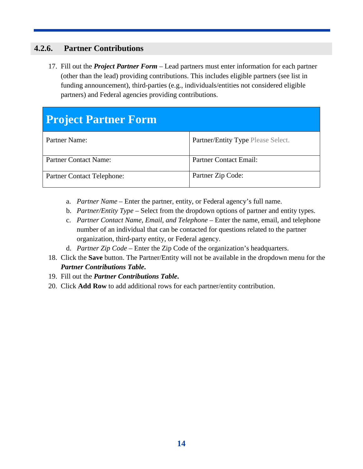### **4.2.6. Partner Contributions**

 17. Fill out the *Project Partner Form* – Lead partners must enter information for each partner (other than the lead) providing contributions. This includes eligible partners (see list in funding announcement), third-parties (e.g., individuals/entities not considered eligible partners) and Federal agencies providing contributions.

# **Project Partner Form**

| Partner Name:                     | Partner/Entity Type Please Select. |
|-----------------------------------|------------------------------------|
| Partner Contact Name:             | <b>Partner Contact Email:</b>      |
| <b>Partner Contact Telephone:</b> | Partner Zip Code:                  |

- a. *Partner Name –* Enter the partner, entity, or Federal agency's full name.
- b. *Partner/Entity Type –* Select from the dropdown options of partner and entity types.
- c. *Partner Contact Name, Email, and Telephone –* Enter the name, email, and telephone number of an individual that can be contacted for questions related to the partner organization, third-party entity, or Federal agency.
- d. *Partner Zip Code –* Enter the Zip Code of the organization's headquarters.
- 18. Click the **Save** button. The Partner/Entity will not be available in the dropdown menu for the *Partner Contributions Table***.**
- 19. Fill out the *Partner Contributions Table***.**
- 20. Click **Add Row** to add additional rows for each partner/entity contribution.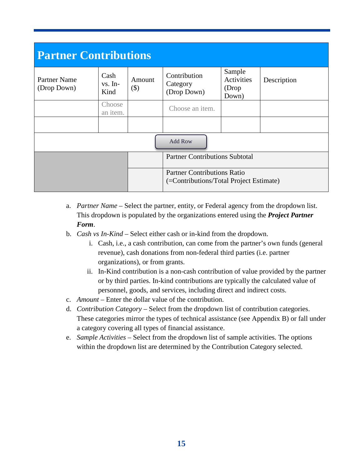| <b>Partner Contributions</b> |                           |                   |                                                                               |                                         |             |  |  |
|------------------------------|---------------------------|-------------------|-------------------------------------------------------------------------------|-----------------------------------------|-------------|--|--|
| Partner Name<br>(Drop Down)  | Cash<br>$vs. In-$<br>Kind | Amount<br>$($ \$) | Contribution<br>Category<br>(Drop Down)                                       | Sample<br>Activities<br>(Drop)<br>Down) | Description |  |  |
|                              | Choose<br>an item.        |                   | Choose an item.                                                               |                                         |             |  |  |
|                              |                           |                   |                                                                               |                                         |             |  |  |
| Add Row                      |                           |                   |                                                                               |                                         |             |  |  |
|                              |                           |                   | <b>Partner Contributions Subtotal</b>                                         |                                         |             |  |  |
|                              |                           |                   | <b>Partner Contributions Ratio</b><br>(=Contributions/Total Project Estimate) |                                         |             |  |  |

- a. *Partner Name* Select the partner, entity, or Federal agency from the dropdown list. This dropdown is populated by the organizations entered using the *Project Partner Form*.
- b. *Cash vs In-Kind* Select either cash or in-kind from the dropdown.
	- i. Cash, i.e., a cash contribution, can come from the partner's own funds (general revenue), cash donations from non-federal third parties (i.e. partner organizations), or from grants.
	- ii. In-Kind contribution is a non-cash contribution of value provided by the partner or by third parties. In-kind contributions are typically the calculated value of personnel, goods, and services, including direct and indirect costs.
- c. *Amount* Enter the dollar value of the contribution.
- d. *Contribution Category* Select from the dropdown list of contribution categories. These categories mirror the types of technical assistance (see Appendix B) or fall under a category covering all types of financial assistance.
- e. *Sample Activities* Select from the dropdown list of sample activities. The options within the dropdown list are determined by the Contribution Category selected.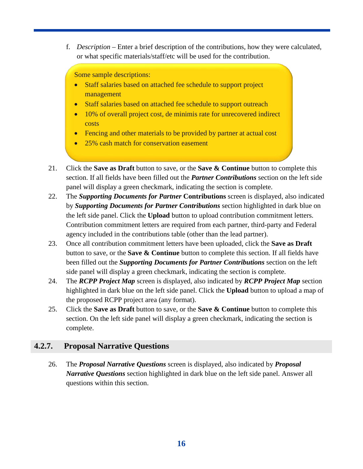f. *Description* – Enter a brief description of the contributions, how they were calculated, or what specific materials/staff/etc will be used for the contribution.

Some sample descriptions:

- Staff salaries based on attached fee schedule to support project management
- Staff salaries based on attached fee schedule to support outreach
- 10% of overall project cost, de minimis rate for unrecovered indirect costs
- Fencing and other materials to be provided by partner at actual cost
- 25% cash match for conservation easement
- 21. Click the **Save as Draft** button to save, or the **Save & Continue** button to complete this section. If all fields have been filled out the *Partner Contributions* section on the left side panel will display a green checkmark, indicating the section is complete.
- 22. The *Supporting Documents for Partner* **Contributions** screen is displayed, also indicated by *Supporting Documents for Partner Contributions* section highlighted in dark blue on the left side panel. Click the **Upload** button to upload contribution commitment letters. Contribution commitment letters are required from each partner, third-party and Federal agency included in the contributions table (other than the lead partner).
- 23. Once all contribution commitment letters have been uploaded, click the **Save as Draft** button to save, or the **Save & Continue** button to complete this section. If all fields have been filled out the *Supporting Documents for Partner Contributions* section on the left side panel will display a green checkmark, indicating the section is complete.
- 24. The *RCPP Project Map* screen is displayed, also indicated by *RCPP Project Map* section highlighted in dark blue on the left side panel. Click the **Upload** button to upload a map of the proposed RCPP project area (any format).
- 25. Click the **Save as Draft** button to save, or the **Save & Continue** button to complete this section. On the left side panel will display a green checkmark, indicating the section is complete.

### <span id="page-19-0"></span>**4.2.7. Proposal Narrative Questions**

 26. The *Proposal Narrative Questions* screen is displayed, also indicated by *Proposal Narrative Questions* section highlighted in dark blue on the left side panel. Answer all questions within this section.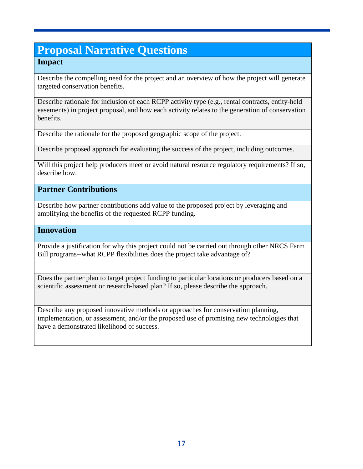# **Proposal Narrative Questions**

### **Impact**

Describe the compelling need for the project and an overview of how the project will generate targeted conservation benefits.

Describe rationale for inclusion of each RCPP activity type (e.g., rental contracts, entity-held easements) in project proposal, and how each activity relates to the generation of conservation benefits.

Describe the rationale for the proposed geographic scope of the project.

Describe proposed approach for evaluating the success of the project, including outcomes.

Will this project help producers meet or avoid natural resource regulatory requirements? If so, describe how.

#### **Partner Contributions**

Describe how partner contributions add value to the proposed project by leveraging and amplifying the benefits of the requested RCPP funding.

#### **Innovation**

Provide a justification for why this project could not be carried out through other NRCS Farm Bill programs--what RCPP flexibilities does the project take advantage of?

Does the partner plan to target project funding to particular locations or producers based on a scientific assessment or research-based plan? If so, please describe the approach.

Describe any proposed innovative methods or approaches for conservation planning, implementation, or assessment, and/or the proposed use of promising new technologies that have a demonstrated likelihood of success.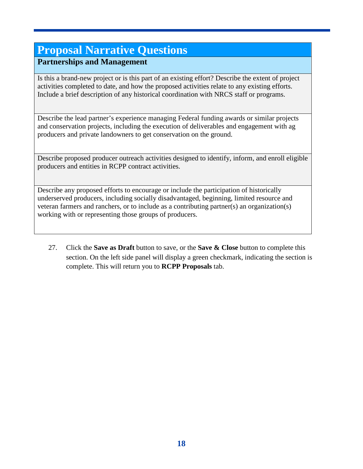# **Proposal Narrative Questions**

### **Partnerships and Management**

Is this a brand-new project or is this part of an existing effort? Describe the extent of project activities completed to date, and how the proposed activities relate to any existing efforts. Include a brief description of any historical coordination with NRCS staff or programs.

Describe the lead partner's experience managing Federal funding awards or similar projects and conservation projects, including the execution of deliverables and engagement with ag producers and private landowners to get conservation on the ground.

Describe proposed producer outreach activities designed to identify, inform, and enroll eligible producers and entities in RCPP contract activities.

Describe any proposed efforts to encourage or include the participation of historically underserved producers, including socially disadvantaged, beginning, limited resource and veteran farmers and ranchers, or to include as a contributing partner(s) an organization(s) working with or representing those groups of producers.

<span id="page-21-0"></span> 27. Click the **Save as Draft** button to save, or the **Save & Close** button to complete this section. On the left side panel will display a green checkmark, indicating the section is complete. This will return you to **RCPP Proposals** tab.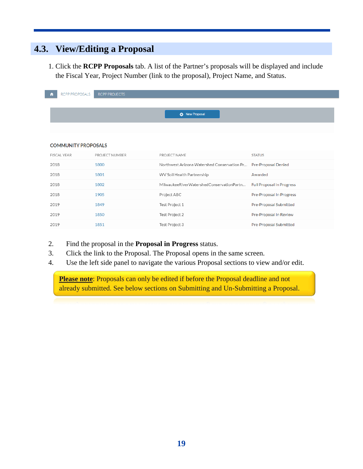# **4.3. View/Editing a Proposal**

I

 1. Click the **RCPP Proposals** tab. A list of the Partner's proposals will be displayed and include the Fiscal Year, Project Number (link to the proposal), Project Name, and Status.

| <b>RCPP PROPOSALS</b><br>n | <b>RCPP PROJECTS</b> |                                                                 |                                  |
|----------------------------|----------------------|-----------------------------------------------------------------|----------------------------------|
|                            |                      |                                                                 |                                  |
|                            |                      | <b>C</b> New Proposal                                           |                                  |
|                            |                      |                                                                 |                                  |
|                            |                      |                                                                 |                                  |
| <b>COMMUNITY PROPOSALS</b> |                      |                                                                 |                                  |
| <b>FISCAL YEAR</b>         | PROJECT NUMBER       | PROJECT NAME                                                    | <b>STATUS</b>                    |
| 2018                       | 1800                 | Northwest Arizona Watershed Conservation Pr Pre-Proposal Denied |                                  |
| 2018                       | 1801                 | WV Soil Health Partnership                                      | Awarded                          |
| 2018                       | 1802                 | MilwaukeeRiverWatershedConservationPartn                        | <b>Full Proposal In Progress</b> |
| 2018                       | 1905                 | Project ABC                                                     | Pre-Proposal In Progress         |
| 2019                       | 1849                 | Test Project 1                                                  | Pre-Proposal Submitted           |
| 2019                       | 1850                 | Test Project 2                                                  | Pre-Proposal In Review           |
| 2019                       | 1851                 | Test Project 3                                                  | Pre-Proposal Submitted           |

- 2. Find the proposal in the **Proposal in Progress** status.
- 3. Click the link to the Proposal. The Proposal opens in the same screen.
- 4. Use the left side panel to navigate the various Proposal sections to view and/or edit.

**Please note**: Proposals can only be edited if before the Proposal deadline and not already submitted. See below sections on Submitting and Un-Submitting a Proposal.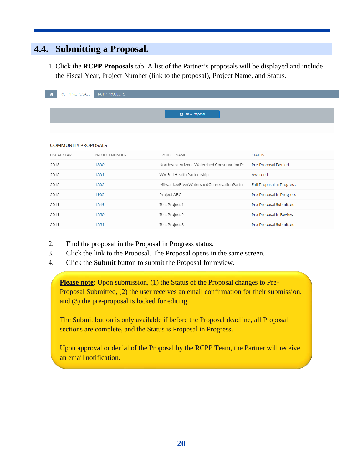### <span id="page-23-0"></span>**4.4. Submitting a Proposal.**

 1. Click the **RCPP Proposals** tab. A list of the Partner's proposals will be displayed and include the Fiscal Year, Project Number (link to the proposal), Project Name, and Status.

| RCPP PROPOSALS<br>n        | <b>RCPP PROJECTS</b> |                                                                 |                                  |
|----------------------------|----------------------|-----------------------------------------------------------------|----------------------------------|
|                            |                      |                                                                 |                                  |
|                            |                      | <b>C</b> New Proposal                                           |                                  |
|                            |                      |                                                                 |                                  |
|                            |                      |                                                                 |                                  |
| <b>COMMUNITY PROPOSALS</b> |                      |                                                                 |                                  |
| <b>FISCAL YEAR</b>         | PROJECT NUMBER       | PROJECT NAME                                                    | <b>STATUS</b>                    |
| 2018                       | 1800                 | Northwest Arizona Watershed Conservation Pr Pre-Proposal Denied |                                  |
| 2018                       | 1801                 | WV Soil Health Partnership                                      | Awarded                          |
| 2018                       | 1802                 | MilwaukeeRiverWatershedConservationPartn                        | <b>Full Proposal In Progress</b> |
| 2018                       | 1905                 | Project ABC                                                     | Pre-Proposal In Progress         |
| 2019                       | 1849                 | Test Project 1                                                  | Pre-Proposal Submitted           |
| 2019                       | 1850                 | Test Project 2                                                  | Pre-Proposal In Review           |
| 2019                       | 1851                 | Test Project 3                                                  | Pre-Proposal Submitted           |

- 2. Find the proposal in the Proposal in Progress status.
- 3. Click the link to the Proposal. The Proposal opens in the same screen.
- 4. Click the **Submit** button to submit the Proposal for review.

**Please note:** Upon submission, (1) the Status of the Proposal changes to Pre-Proposal Submitted, (2) the user receives an email confirmation for their submission, and (3) the pre-proposal is locked for editing.

The Submit button is only available if before the Proposal deadline, all Proposal sections are complete, and the Status is Proposal in Progress.

Upon approval or denial of the Proposal by the RCPP Team, the Partner will receive an email notification.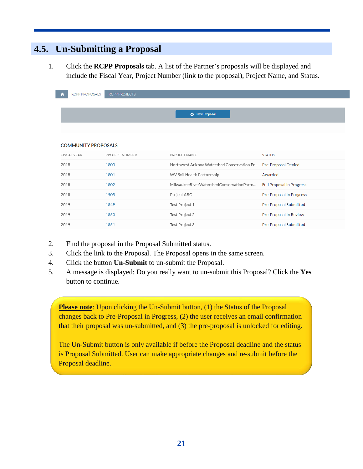# <span id="page-24-0"></span>**4.5. Un-Submitting a Proposal**

 1. Click the **RCPP Proposals** tab. A list of the Partner's proposals will be displayed and include the Fiscal Year, Project Number (link to the proposal), Project Name, and Status.

| RCPP PROPOSALS             | <b>RCPP PROJECTS</b> |                                             |                                  |
|----------------------------|----------------------|---------------------------------------------|----------------------------------|
|                            |                      |                                             |                                  |
|                            |                      | <b>C</b> New Proposal                       |                                  |
|                            |                      |                                             |                                  |
|                            |                      |                                             |                                  |
| <b>COMMUNITY PROPOSALS</b> |                      |                                             |                                  |
| <b>FISCAL YEAR</b>         | PROJECT NUMBER       | PROJECT NAME                                | <b>STATUS</b>                    |
| 2018                       | 1800                 | Northwest Arizona Watershed Conservation Pr | <b>Pre-Proposal Denied</b>       |
| 2018                       | 1801                 | WV Soil Health Partnership                  | Awarded                          |
| 2018                       | 1802                 | MilwaukeeRiverWatershedConservationPartn    | <b>Full Proposal In Progress</b> |
| 2018                       | 1905                 | Project ABC                                 | Pre-Proposal In Progress         |
| 2019                       | 1849                 | Test Project 1                              | Pre-Proposal Submitted           |
| 2019                       | 1850                 | Test Project 2                              | Pre-Proposal In Review           |
| 2019                       | 1851                 | Test Project 3                              | Pre-Proposal Submitted           |

- 2. Find the proposal in the Proposal Submitted status.
- 3. Click the link to the Proposal. The Proposal opens in the same screen.
- 4. Click the button **Un-Submit** to un-submit the Proposal.
- 5. A message is displayed: Do you really want to un-submit this Proposal? Click the **Yes**  button to continue.

**Please note:** Upon clicking the Un-Submit button, (1) the Status of the Proposal changes back to Pre-Proposal in Progress, (2) the user receives an email confirmation that their proposal was un-submitted, and (3) the pre-proposal is unlocked for editing.

The Un-Submit button is only available if before the Proposal deadline and the status is Proposal Submitted. User can make appropriate changes and re-submit before the Proposal deadline.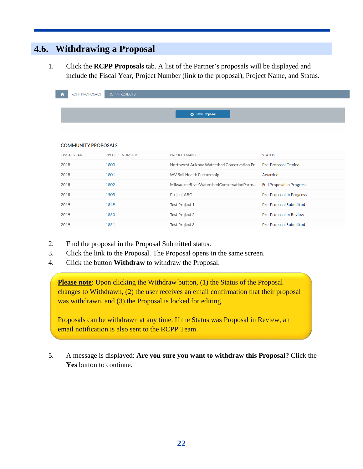# <span id="page-25-0"></span>**4.6. Withdrawing a Proposal**

 1. Click the **RCPP Proposals** tab. A list of the Partner's proposals will be displayed and include the Fiscal Year, Project Number (link to the proposal), Project Name, and Status.

| RCPP PROPOSALS             | <b>RCPP PROJECTS</b> |                                             |                                  |
|----------------------------|----------------------|---------------------------------------------|----------------------------------|
|                            |                      |                                             |                                  |
|                            |                      | <b>C</b> New Proposal                       |                                  |
|                            |                      |                                             |                                  |
|                            |                      |                                             |                                  |
| <b>COMMUNITY PROPOSALS</b> |                      |                                             |                                  |
| <b>FISCAL YEAR</b>         | PROJECT NUMBER       | PROJECT NAME                                | <b>STATUS</b>                    |
| 2018                       | 1800                 | Northwest Arizona Watershed Conservation Pr | <b>Pre-Proposal Denied</b>       |
| 2018                       | 1801                 | WV Soil Health Partnership                  | Awarded                          |
| 2018                       | 1802                 | MilwaukeeRiverWatershedConservationPartn    | <b>Full Proposal In Progress</b> |
| 2018                       | 1905                 | Project ABC                                 | Pre-Proposal In Progress         |
| 2019                       | 1849                 | Test Project 1                              | Pre-Proposal Submitted           |
| 2019                       | 1850                 | Test Project 2                              | Pre-Proposal In Review           |
| 2019                       | 1851                 | Test Project 3                              | Pre-Proposal Submitted           |

- 2. Find the proposal in the Proposal Submitted status.
- 3. Click the link to the Proposal. The Proposal opens in the same screen.
- 4. Click the button **Withdraw** to withdraw the Proposal.

**Please note:** Upon clicking the Withdraw button, (1) the Status of the Proposal changes to Withdrawn, (2) the user receives an email confirmation that their proposal was withdrawn, and (3) the Proposal is locked for editing.

Proposals can be withdrawn at any time. If the Status was Proposal in Review, an email notification is also sent to the RCPP Team.

 5. A message is displayed: **Are you sure you want to withdraw this Proposal?** Click the **Yes** button to continue.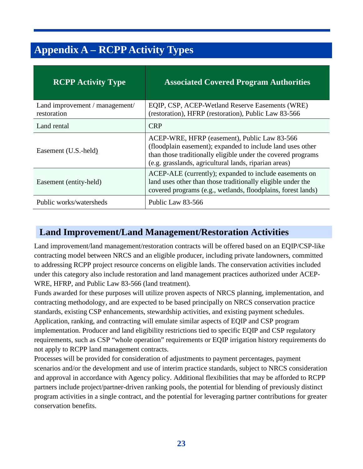# <span id="page-26-0"></span>**Appendix A – RCPP Activity Types**

| <b>RCPP Activity Type</b>                     | <b>Associated Covered Program Authorities</b>                                                                                                                                                                                       |
|-----------------------------------------------|-------------------------------------------------------------------------------------------------------------------------------------------------------------------------------------------------------------------------------------|
| Land improvement / management/<br>restoration | EQIP, CSP, ACEP-Wetland Reserve Easements (WRE)<br>(restoration), HFRP (restoration), Public Law 83-566                                                                                                                             |
| Land rental                                   | <b>CRP</b>                                                                                                                                                                                                                          |
| Easement (U.S.-held)                          | ACEP-WRE, HFRP (easement), Public Law 83-566<br>(floodplain easement); expanded to include land uses other<br>than those traditionally eligible under the covered programs<br>(e.g. grasslands, agricultural lands, riparian areas) |
| Easement (entity-held)                        | ACEP-ALE (currently); expanded to include easements on<br>land uses other than those traditionally eligible under the<br>covered programs (e.g., wetlands, floodplains, forest lands)                                               |
| Public works/watersheds                       | Public Law 83-566                                                                                                                                                                                                                   |

### <span id="page-26-1"></span>**Land Improvement/Land Management/Restoration Activities**

Land improvement/land management/restoration contracts will be offered based on an EQIP/CSP-like contracting model between NRCS and an eligible producer, including private landowners, committed to addressing RCPP project resource concerns on eligible lands. The conservation activities included under this category also include restoration and land management practices authorized under ACEP-WRE, HFRP, and Public Law 83-566 (land treatment).

Funds awarded for these purposes will utilize proven aspects of NRCS planning, implementation, and contracting methodology, and are expected to be based principally on NRCS conservation practice standards, existing CSP enhancements, stewardship activities, and existing payment schedules. Application, ranking, and contracting will emulate similar aspects of EQIP and CSP program implementation. Producer and land eligibility restrictions tied to specific EQIP and CSP regulatory requirements, such as CSP "whole operation" requirements or EQIP irrigation history requirements do not apply to RCPP land management contracts.

Processes will be provided for consideration of adjustments to payment percentages, payment scenarios and/or the development and use of interim practice standards, subject to NRCS consideration and approval in accordance with Agency policy. Additional flexibilities that may be afforded to RCPP partners include project/partner-driven ranking pools, the potential for blending of previously distinct program activities in a single contract, and the potential for leveraging partner contributions for greater conservation benefits.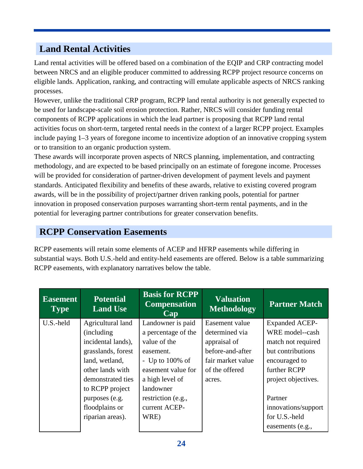# <span id="page-27-0"></span>**Land Rental Activities**

Land rental activities will be offered based on a combination of the EQIP and CRP contracting model between NRCS and an eligible producer committed to addressing RCPP project resource concerns on eligible lands. Application, ranking, and contracting will emulate applicable aspects of NRCS ranking processes.

However, unlike the traditional CRP program, RCPP land rental authority is not generally expected to be used for landscape-scale soil erosion protection. Rather, NRCS will consider funding rental components of RCPP applications in which the lead partner is proposing that RCPP land rental activities focus on short-term, targeted rental needs in the context of a larger RCPP project. Examples include paying 1–3 years of foregone income to incentivize adoption of an innovative cropping system or to transition to an organic production system.

These awards will incorporate proven aspects of NRCS planning, implementation, and contracting methodology, and are expected to be based principally on an estimate of foregone income. Processes will be provided for consideration of partner-driven development of payment levels and payment standards. Anticipated flexibility and benefits of these awards, relative to existing covered program awards, will be in the possibility of project/partner driven ranking pools, potential for partner innovation in proposed conservation purposes warranting short-term rental payments, and in the potential for leveraging partner contributions for greater conservation benefits.

### <span id="page-27-1"></span>**RCPP Conservation Easements**

RCPP easements will retain some elements of ACEP and HFRP easements while differing in substantial ways. Both U.S.-held and entity-held easements are offered. Below is a table summarizing RCPP easements, with explanatory narratives below the table.

| <b>Easement</b><br><b>Type</b> | <b>Potential</b><br><b>Land Use</b> | <b>Basis for RCPP</b><br><b>Compensation</b><br>Cap | <b>Valuation</b><br><b>Methodology</b> | <b>Partner Match</b>  |
|--------------------------------|-------------------------------------|-----------------------------------------------------|----------------------------------------|-----------------------|
| U.S.-held                      | Agricultural land                   | Landowner is paid                                   | Easement value                         | <b>Expanded ACEP-</b> |
|                                | <i>(including)</i>                  | a percentage of the                                 | determined via                         | WRE model--cash       |
|                                | incidental lands),                  | value of the                                        | appraisal of                           | match not required    |
|                                | grasslands, forest                  | easement.                                           | before-and-after                       | but contributions     |
|                                | land, wetland,                      | - Up to $100\%$ of                                  | fair market value                      | encouraged to         |
|                                | other lands with                    | easement value for                                  | of the offered                         | further RCPP          |
|                                | demonstrated ties                   | a high level of                                     | acres.                                 | project objectives.   |
|                                | to RCPP project                     | landowner                                           |                                        |                       |
|                                | purposes (e.g.                      | restriction (e.g.,                                  |                                        | Partner               |
|                                | floodplains or                      | current ACEP-                                       |                                        | innovations/support   |
|                                | riparian areas).                    | WRE)                                                |                                        | for U.S.-held         |
|                                |                                     |                                                     |                                        | easements (e.g.,      |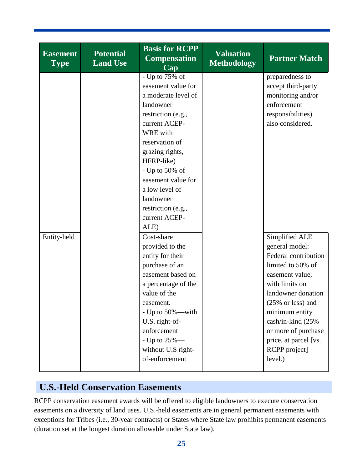| <b>Easement</b><br><b>Type</b> | <b>Potential</b><br><b>Land Use</b> | <b>Basis for RCPP</b><br><b>Compensation</b><br>Cap | <b>Valuation</b><br><b>Methodology</b> | <b>Partner Match</b>                 |
|--------------------------------|-------------------------------------|-----------------------------------------------------|----------------------------------------|--------------------------------------|
|                                |                                     | - Up to $\overline{75\% \text{ of }}$               |                                        | preparedness to                      |
|                                |                                     | easement value for                                  |                                        | accept third-party                   |
|                                |                                     | a moderate level of                                 |                                        | monitoring and/or                    |
|                                |                                     | landowner                                           |                                        | enforcement                          |
|                                |                                     | restriction (e.g.,                                  |                                        | responsibilities)                    |
|                                |                                     | current ACEP-                                       |                                        | also considered.                     |
|                                |                                     | WRE with                                            |                                        |                                      |
|                                |                                     | reservation of                                      |                                        |                                      |
|                                |                                     | grazing rights,<br>HFRP-like)                       |                                        |                                      |
|                                |                                     | - Up to $50\%$ of                                   |                                        |                                      |
|                                |                                     | easement value for                                  |                                        |                                      |
|                                |                                     | a low level of                                      |                                        |                                      |
|                                |                                     | landowner                                           |                                        |                                      |
|                                |                                     | restriction (e.g.,                                  |                                        |                                      |
|                                |                                     | current ACEP-                                       |                                        |                                      |
|                                |                                     | ALE)                                                |                                        |                                      |
| Entity-held                    |                                     | Cost-share                                          |                                        | Simplified ALE                       |
|                                |                                     | provided to the                                     |                                        | general model:                       |
|                                |                                     | entity for their                                    |                                        | Federal contribution                 |
|                                |                                     | purchase of an                                      |                                        | limited to 50% of                    |
|                                |                                     | easement based on                                   |                                        | easement value,                      |
|                                |                                     | a percentage of the                                 |                                        | with limits on                       |
|                                |                                     | value of the                                        |                                        | landowner donation                   |
|                                |                                     | easement.                                           |                                        | $(25\% \text{ or } \text{less})$ and |
|                                |                                     | - Up to $50\%$ —with                                |                                        | minimum entity                       |
|                                |                                     | U.S. right-of-                                      |                                        | cash/in-kind (25%                    |
|                                |                                     | enforcement                                         |                                        | or more of purchase                  |
|                                |                                     | - Up to 25%-                                        |                                        | price, at parcel [vs.                |
|                                |                                     | without U.S right-                                  |                                        | RCPP project]                        |
|                                |                                     | of-enforcement                                      |                                        | level.)                              |
|                                |                                     |                                                     |                                        |                                      |

# <span id="page-28-0"></span>**U.S.-Held Conservation Easements**

RCPP conservation easement awards will be offered to eligible landowners to execute conservation easements on a diversity of land uses. U.S.-held easements are in general permanent easements with exceptions for Tribes (i.e., 30-year contracts) or States where State law prohibits permanent easements (duration set at the longest duration allowable under State law).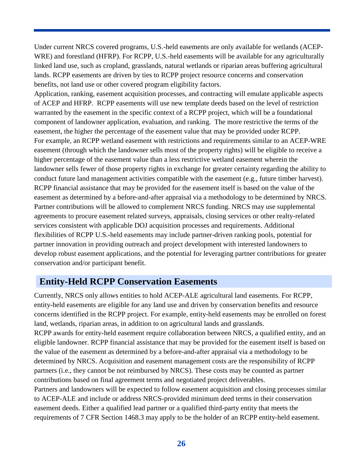Under current NRCS covered programs, U.S.-held easements are only available for wetlands (ACEP-WRE) and forestland (HFRP). For RCPP, U.S.-held easements will be available for any agriculturally linked land use, such as cropland, grasslands, natural wetlands or riparian areas buffering agricultural lands. RCPP easements are driven by ties to RCPP project resource concerns and conservation benefits, not land use or other covered program eligibility factors.

Application, ranking, easement acquisition processes, and contracting will emulate applicable aspects of ACEP and HFRP. RCPP easements will use new template deeds based on the level of restriction warranted by the easement in the specific context of a RCPP project, which will be a foundational component of landowner application, evaluation, and ranking. The more restrictive the terms of the easement, the higher the percentage of the easement value that may be provided under RCPP. For example, an RCPP wetland easement with restrictions and requirements similar to an ACEP-WRE easement (through which the landowner sells most of the property rights) will be eligible to receive a higher percentage of the easement value than a less restrictive wetland easement wherein the landowner sells fewer of those property rights in exchange for greater certainty regarding the ability to conduct future land management activities compatible with the easement (e.g., future timber harvest). RCPP financial assistance that may be provided for the easement itself is based on the value of the easement as determined by a before-and-after appraisal via a methodology to be determined by NRCS. Partner contributions will be allowed to complement NRCS funding. NRCS may use supplemental agreements to procure easement related surveys, appraisals, closing services or other realty-related services consistent with applicable DOJ acquisition processes and requirements. Additional flexibilities of RCPP U.S.-held easements may include partner-driven ranking pools, potential for partner innovation in providing outreach and project development with interested landowners to develop robust easement applications, and the potential for leveraging partner contributions for greater conservation and/or participant benefit.

### <span id="page-29-0"></span>**Entity-Held RCPP Conservation Easements**

Currently, NRCS only allows entities to hold ACEP-ALE agricultural land easements. For RCPP, entity-held easements are eligible for any land use and driven by conservation benefits and resource concerns identified in the RCPP project. For example, entity-held easements may be enrolled on forest land, wetlands, riparian areas, in addition to on agricultural lands and grasslands. RCPP awards for entity-held easement require collaboration between NRCS, a qualified entity, and an eligible landowner. RCPP financial assistance that may be provided for the easement itself is based on the value of the easement as determined by a before-and-after appraisal via a methodology to be determined by NRCS. Acquisition and easement management costs are the responsibility of RCPP partners (i.e., they cannot be not reimbursed by NRCS). These costs may be counted as partner contributions based on final agreement terms and negotiated project deliverables. Partners and landowners will be expected to follow easement acquisition and closing processes similar to ACEP-ALE and include or address NRCS-provided minimum deed terms in their conservation easement deeds. Either a qualified lead partner or a qualified third-party entity that meets the requirements of 7 CFR Section 1468.3 may apply to be the holder of an RCPP entity-held easement.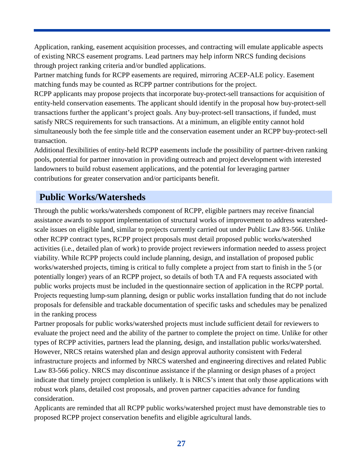Application, ranking, easement acquisition processes, and contracting will emulate applicable aspects of existing NRCS easement programs. Lead partners may help inform NRCS funding decisions through project ranking criteria and/or bundled applications.

Partner matching funds for RCPP easements are required, mirroring ACEP-ALE policy. Easement matching funds may be counted as RCPP partner contributions for the project.

RCPP applicants may propose projects that incorporate buy-protect-sell transactions for acquisition of entity-held conservation easements. The applicant should identify in the proposal how buy-protect-sell transactions further the applicant's project goals. Any buy-protect-sell transactions, if funded, must satisfy NRCS requirements for such transactions. At a minimum, an eligible entity cannot hold simultaneously both the fee simple title and the conservation easement under an RCPP buy-protect-sell transaction.

Additional flexibilities of entity-held RCPP easements include the possibility of partner-driven ranking pools, potential for partner innovation in providing outreach and project development with interested landowners to build robust easement applications, and the potential for leveraging partner contributions for greater conservation and/or participants benefit.

# <span id="page-30-0"></span>**Public Works/Watersheds**

Through the public works/watersheds component of RCPP, eligible partners may receive financial assistance awards to support implementation of structural works of improvement to address watershedscale issues on eligible land, similar to projects currently carried out under Public Law 83-566. Unlike other RCPP contract types, RCPP project proposals must detail proposed public works/watershed activities (i.e., detailed plan of work) to provide project reviewers information needed to assess project viability. While RCPP projects could include planning, design, and installation of proposed public works/watershed projects, timing is critical to fully complete a project from start to finish in the 5 (or potentially longer) years of an RCPP project, so details of both TA and FA requests associated with public works projects must be included in the questionnaire section of application in the RCPP portal. Projects requesting lump-sum planning, design or public works installation funding that do not include proposals for defensible and trackable documentation of specific tasks and schedules may be penalized in the ranking process

Partner proposals for public works/watershed projects must include sufficient detail for reviewers to evaluate the project need and the ability of the partner to complete the project on time. Unlike for other types of RCPP activities, partners lead the planning, design, and installation public works/watershed. However, NRCS retains watershed plan and design approval authority consistent with Federal infrastructure projects and informed by NRCS watershed and engineering directives and related Public Law 83-566 policy. NRCS may discontinue assistance if the planning or design phases of a project indicate that timely project completion is unlikely. It is NRCS's intent that only those applications with robust work plans, detailed cost proposals, and proven partner capacities advance for funding consideration.

Applicants are reminded that all RCPP public works/watershed project must have demonstrable ties to proposed RCPP project conservation benefits and eligible agricultural lands.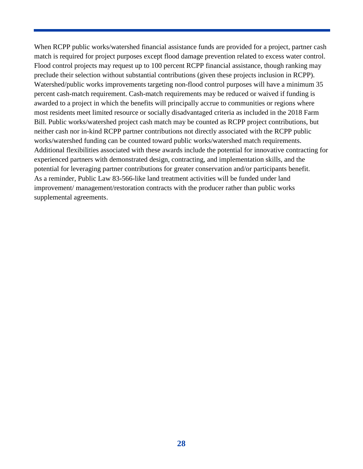When RCPP public works/watershed financial assistance funds are provided for a project, partner cash match is required for project purposes except flood damage prevention related to excess water control. Flood control projects may request up to 100 percent RCPP financial assistance, though ranking may preclude their selection without substantial contributions (given these projects inclusion in RCPP). Watershed/public works improvements targeting non-flood control purposes will have a minimum 35 percent cash-match requirement. Cash-match requirements may be reduced or waived if funding is awarded to a project in which the benefits will principally accrue to communities or regions where most residents meet limited resource or socially disadvantaged criteria as included in the 2018 Farm Bill. Public works/watershed project cash match may be counted as RCPP project contributions, but neither cash nor in-kind RCPP partner contributions not directly associated with the RCPP public works/watershed funding can be counted toward public works/watershed match requirements. Additional flexibilities associated with these awards include the potential for innovative contracting for experienced partners with demonstrated design, contracting, and implementation skills, and the potential for leveraging partner contributions for greater conservation and/or participants benefit. As a reminder, Public Law 83-566-like land treatment activities will be funded under land improvement/ management/restoration contracts with the producer rather than public works supplemental agreements.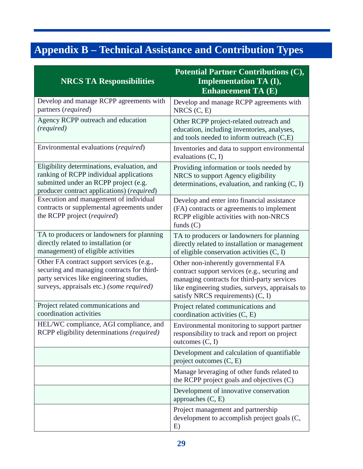# <span id="page-32-0"></span>**Appendix B – Technical Assistance and Contribution Types**

| <b>NRCS TA Responsibilities</b>                                                                                                                                                  | <b>Potential Partner Contributions (C),</b><br><b>Implementation TA (I),</b><br><b>Enhancement TA (E)</b>                                                                                                                       |
|----------------------------------------------------------------------------------------------------------------------------------------------------------------------------------|---------------------------------------------------------------------------------------------------------------------------------------------------------------------------------------------------------------------------------|
| Develop and manage RCPP agreements with<br>partners (required)                                                                                                                   | Develop and manage RCPP agreements with<br>NRCS $(C, E)$                                                                                                                                                                        |
| Agency RCPP outreach and education<br>(required)                                                                                                                                 | Other RCPP project-related outreach and<br>education, including inventories, analyses,<br>and tools needed to inform outreach (C,E)                                                                                             |
| Environmental evaluations (required)                                                                                                                                             | Inventories and data to support environmental<br>evaluations $(C, I)$                                                                                                                                                           |
| Eligibility determinations, evaluation, and<br>ranking of RCPP individual applications<br>submitted under an RCPP project (e.g.<br>producer contract applications) (required)    | Providing information or tools needed by<br>NRCS to support Agency eligibility<br>determinations, evaluation, and ranking $(C, I)$                                                                                              |
| Execution and management of individual<br>contracts or supplemental agreements under<br>the RCPP project (required)                                                              | Develop and enter into financial assistance<br>(FA) contracts or agreements to implement<br>RCPP eligible activities with non-NRCS<br>funds $(C)$                                                                               |
| TA to producers or landowners for planning<br>directly related to installation (or<br>management) of eligible activities                                                         | TA to producers or landowners for planning<br>directly related to installation or management<br>of eligible conservation activities (C, I)                                                                                      |
| Other FA contract support services (e.g.,<br>securing and managing contracts for third-<br>party services like engineering studies,<br>surveys, appraisals etc.) (some required) | Other non-inherently governmental FA<br>contract support services (e.g., securing and<br>managing contracts for third-party services<br>like engineering studies, surveys, appraisals to<br>satisfy NRCS requirements) $(C, I)$ |
| Project related communications and<br>coordination activities                                                                                                                    | Project related communications and<br>coordination activities $(C, E)$                                                                                                                                                          |
| HEL/WC compliance, AGI compliance, and<br>RCPP eligibility determinations (required)                                                                                             | Environmental monitoring to support partner<br>responsibility to track and report on project<br>outcomes $(C, I)$                                                                                                               |
|                                                                                                                                                                                  | Development and calculation of quantifiable<br>project outcomes $(C, E)$                                                                                                                                                        |
|                                                                                                                                                                                  | Manage leveraging of other funds related to<br>the RCPP project goals and objectives (C)                                                                                                                                        |
|                                                                                                                                                                                  | Development of innovative conservation<br>approaches $(C, E)$                                                                                                                                                                   |
|                                                                                                                                                                                  | Project management and partnership<br>development to accomplish project goals (C,<br>E)                                                                                                                                         |